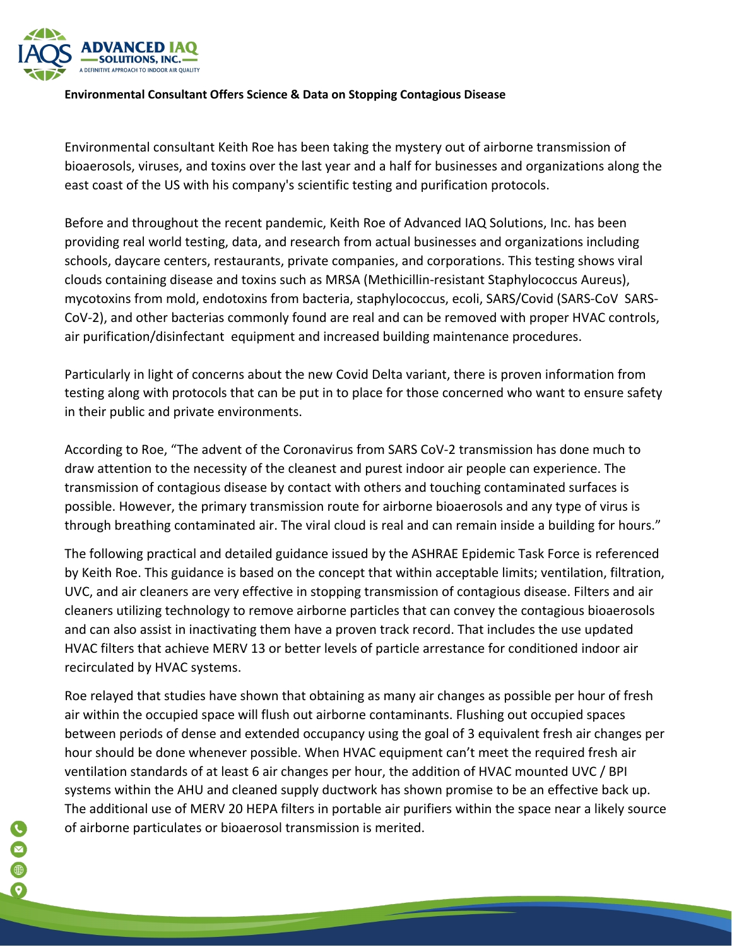

## **Environmental Consultant Offers Science & Data on Stopping Contagious Disease**

Environmental consultant Keith Roe has been taking the mystery out of airborne transmission of bioaerosols, viruses, and toxins over the last year and a half for businesses and organizations along the east coast of the US with his company's scientific testing and purification protocols.

Before and throughout the recent pandemic, Keith Roe of Advanced IAQ Solutions, Inc. has been providing real world testing, data, and research from actual businesses and organizations including schools, daycare centers, restaurants, private companies, and corporations. This testing shows viral clouds containing disease and toxins such as MRSA (Methicillin-resistant Staphylococcus Aureus), mycotoxins from mold, endotoxins from bacteria, staphylococcus, ecoli, SARS/Covid (SARS-CoV SARS-CoV-2), and other bacterias commonly found are real and can be removed with proper HVAC controls, air purification/disinfectant equipment and increased building maintenance procedures.

Particularly in light of concerns about the new Covid Delta variant, there is proven information from testing along with protocols that can be put in to place for those concerned who want to ensure safety in their public and private environments.

According to Roe, "The advent of the Coronavirus from SARS CoV-2 transmission has done much to draw attention to the necessity of the cleanest and purest indoor air people can experience. The transmission of contagious disease by contact with others and touching contaminated surfaces is possible. However, the primary transmission route for airborne bioaerosols and any type of virus is through breathing contaminated air. The viral cloud is real and can remain inside a building for hours."

The following practical and detailed guidance issued by the ASHRAE Epidemic Task Force is referenced by Keith Roe. This guidance is based on the concept that within acceptable limits; ventilation, filtration, UVC, and air cleaners are very effective in stopping transmission of contagious disease. Filters and air cleaners utilizing technology to remove airborne particles that can convey the contagious bioaerosols and can also assist in inactivating them have a proven track record. That includes the use updated HVAC filters that achieve MERV 13 or better levels of particle arrestance for conditioned indoor air recirculated by HVAC systems.

Roe relayed that studies have shown that obtaining as many air changes as possible per hour of fresh air within the occupied space will flush out airborne contaminants. Flushing out occupied spaces between periods of dense and extended occupancy using the goal of 3 equivalent fresh air changes per hour should be done whenever possible. When HVAC equipment can't meet the required fresh air ventilation standards of at least 6 air changes per hour, the addition of HVAC mounted UVC / BPI systems within the AHU and cleaned supply ductwork has shown promise to be an effective back up. The additional use of MERV 20 HEPA filters in portable air purifiers within the space near a likely source of airborne particulates or bioaerosol transmission is merited.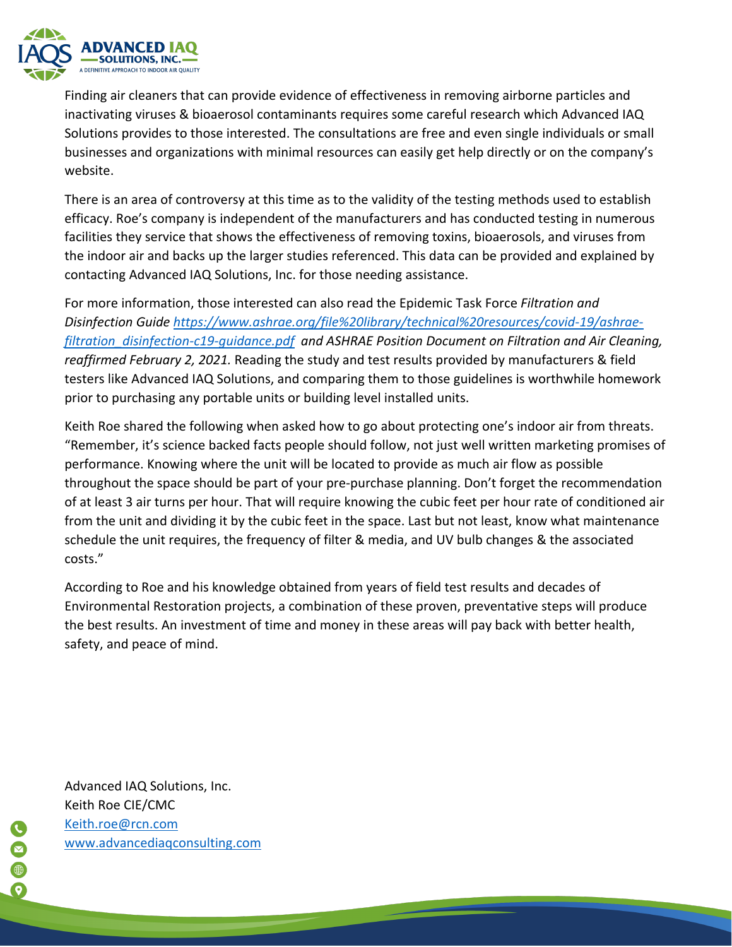

Finding air cleaners that can provide evidence of effectiveness in removing airborne particles and inactivating viruses & bioaerosol contaminants requires some careful research which Advanced IAQ Solutions provides to those interested. The consultations are free and even single individuals or small businesses and organizations with minimal resources can easily get help directly or on the company's website.

There is an area of controversy at this time as to the validity of the testing methods used to establish efficacy. Roe's company is independent of the manufacturers and has conducted testing in numerous facilities they service that shows the effectiveness of removing toxins, bioaerosols, and viruses from the indoor air and backs up the larger studies referenced. This data can be provided and explained by contacting Advanced IAQ Solutions, Inc. for those needing assistance.

For more information, those interested can also read the Epidemic Task Force *Filtration and Disinfection Guide https://www.ashrae.org/file%20library/technical%20resources/covid-19/ashraefiltration\_disinfection-c19-guidance.pdf and ASHRAE Position Document on Filtration and Air Cleaning, reaffirmed February 2, 2021.* Reading the study and test results provided by manufacturers & field testers like Advanced IAQ Solutions, and comparing them to those guidelines is worthwhile homework prior to purchasing any portable units or building level installed units.

Keith Roe shared the following when asked how to go about protecting one's indoor air from threats. "Remember, it's science backed facts people should follow, not just well written marketing promises of performance. Knowing where the unit will be located to provide as much air flow as possible throughout the space should be part of your pre-purchase planning. Don't forget the recommendation of at least 3 air turns per hour. That will require knowing the cubic feet per hour rate of conditioned air from the unit and dividing it by the cubic feet in the space. Last but not least, know what maintenance schedule the unit requires, the frequency of filter & media, and UV bulb changes & the associated costs."

According to Roe and his knowledge obtained from years of field test results and decades of Environmental Restoration projects, a combination of these proven, preventative steps will produce the best results. An investment of time and money in these areas will pay back with better health, safety, and peace of mind.

Advanced IAQ Solutions, Inc. Keith Roe CIE/CMC Keith.roe@rcn.com www.advancediaqconsulting.com